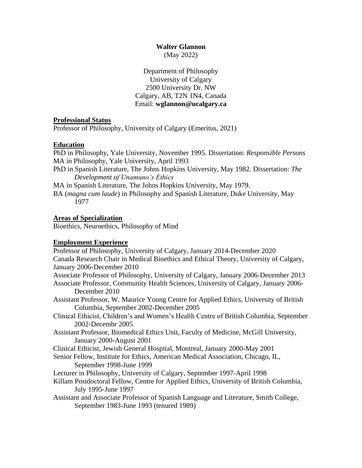# **Walter Glannon**

(May 2022)

Department of Philosophy University of Calgary 2500 University Dr. NW Calgary, AB, T2N 1N4, Canada Email: **wglannon@ucalgary.ca**

## **Professional Status**

Professor of Philosophy, University of Calgary (Emeritus, 2021)

## **Education**

PhD in Philosophy, Yale University, November 1995. Dissertation: *Responsible Persons* MA in Philosophy, Yale University, April 1993

PhD in Spanish Literature, The Johns Hopkins University, May 1982. Dissertation: *The Development of Unamuno's Ethics*

MA in Spanish Literature, The Johns Hopkins University, May 1979.

BA (*magna cum laude*) in Philosophy and Spanish Literature, Duke University, May 1977

## **Areas of Specialization**

Bioethics, Neuroethics, Philosophy of Mind

## **Employment Experience**

Professor of Philosophy, University of Calgary, January 2014-December 2020 Canada Research Chair in Medical Bioethics and Ethical Theory, University of Calgary, January 2006-December 2010 Associate Professor of Philosophy, University of Calgary, January 2006-December 2013 Associate Professor, Community Health Sciences, University of Calgary, January 2006- December 2010 Assistant Professor, W. Maurice Young Centre for Applied Ethics, University of British Columbia, September 2002-December 2005 Clinical Ethicist, Children's and Women's Health Centre of British Columbia, September 2002-Decembr 2005 Assistant Professor, Biomedical Ethics Unit, Faculty of Medicine, McGill University, January 2000-August 2001 Clinical Ethicist, Jewish General Hospital, Montreal, January 2000-May 2001 Senior Fellow, Institute for Ethics, American Medical Association, Chicago, IL, September 1998-June 1999 Lecturer in Philosophy, University of Calgary, September 1997-April 1998 Killam Postdoctoral Fellow, Centre for Applied Ethics, University of British Columbia, July 1995-June 1997 Assistant and Associate Professor of Spanish Language and Literature, Smith College, September 1983-June 1993 (tenured 1989)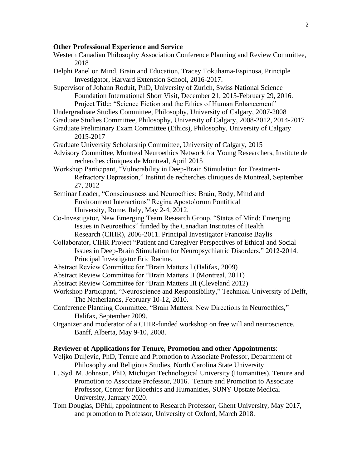## **Other Professional Experience and Service**

- Western Canadian Philosophy Association Conference Planning and Review Committee, 2018
- Delphi Panel on Mind, Brain and Education, Tracey Tokuhama-Espinosa, Principle Investigator, Harvard Extension School, 2016-2017.

Supervisor of Johann Roduit, PhD, University of Zurich, Swiss National Science Foundation International Short Visit, December 21, 2015-February 29, 2016. Project Title: "Science Fiction and the Ethics of Human Enhancement"

Undergraduate Studies Committee, Philosophy, University of Calgary, 2007-2008

- Graduate Studies Committee, Philosophy, University of Calgary, 2008-2012, 2014-2017
- Graduate Preliminary Exam Committee (Ethics), Philosophy, University of Calgary 2015-2017
- Graduate University Scholarship Committee, University of Calgary, 2015
- Advisory Committee, Montreal Neuroethics Network for Young Researchers, Institute de recherches cliniques de Montreal, April 2015
- Workshop Participant, "Vulnerability in Deep-Brain Stimulation for Treatment-Refractory Depression," Institut de recherches cliniques de Montreal, September 27, 2012
- Seminar Leader, "Consciousness and Neuroethics: Brain, Body, Mind and Environment Interactions" Regina Apostolorum Pontifical University, Rome, Italy, May 2-4, 2012.
- Co-Investigator, New Emerging Team Research Group, "States of Mind: Emerging Issues in Neuroethics" funded by the Canadian Institutes of Health Research (CIHR), 2006-2011. Principal Investigator Francoise Baylis
- Collaborator, CIHR Project "Patient and Caregiver Perspectives of Ethical and Social Issues in Deep-Brain Stimulation for Neuropsychiatric Disorders," 2012-2014. Principal Investigator Eric Racine.
- Abstract Review Committee for "Brain Matters I (Halifax, 2009)
- Abstract Review Committee for "Brain Matters II (Montreal, 2011)
- Abstract Review Committee for "Brain Matters III (Cleveland 2012)
- Workshop Participant, "Neuroscience and Responsibility," Technical University of Delft, The Netherlands, February 10-12, 2010.
- Conference Planning Committee, "Brain Matters: New Directions in Neuroethics," Halifax, September 2009.
- Organizer and moderator of a CIHR-funded workshop on free will and neuroscience, Banff, Alberta, May 9-10, 2008.

#### **Reviewer of Applications for Tenure, Promotion and other Appointments**:

- Veljko Duljevic, PhD, Tenure and Promotion to Associate Professor, Department of Philosophy and Religious Studies, North Carolina State University
- L. Syd. M. Johnson, PhD, Michigan Technological University (Humanities), Tenure and Promotion to Associate Professor, 2016. Tenure and Promotion to Associate Professor, Center for Bioethics and Humanities, SUNY Upstate Medical University, January 2020.
- Tom Douglas, DPhil, appointment to Research Professor, Ghent University, May 2017, and promotion to Professor, University of Oxford, March 2018.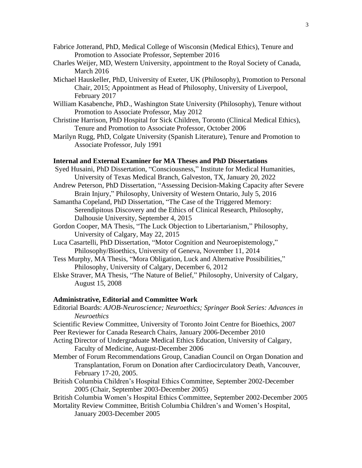- Fabrice Jotterand, PhD, Medical College of Wisconsin (Medical Ethics), Tenure and Promotion to Associate Professor, September 2016
- Charles Weijer, MD, Western University, appointment to the Royal Society of Canada, March 2016
- Michael Hauskeller, PhD, University of Exeter, UK (Philosophy), Promotion to Personal Chair, 2015; Appointment as Head of Philosophy, University of Liverpool, February 2017
- William Kasabenche, PhD., Washington State University (Philosophy), Tenure without Promotion to Associate Professor, May 2012
- Christine Harrison, PhD Hospital for Sick Children, Toronto (Clinical Medical Ethics), Tenure and Promotion to Associate Professor, October 2006
- Marilyn Rugg, PhD, Colgate University (Spanish Literature), Tenure and Promotion to Associate Professor, July 1991

#### **Internal and External Examiner for MA Theses and PhD Dissertations**

- Syed Husaini, PhD Dissertation, "Consciousness," Institute for Medical Humanities, University of Texas Medical Branch, Galveston, TX, January 20, 2022
- Andrew Peterson, PhD Dissertation, "Assessing Decision-Making Capacity after Severe Brain Injury," Philosophy, University of Western Ontario, July 5, 2016
- Samantha Copeland, PhD Dissertation, "The Case of the Triggered Memory: Serendipitous Discovery and the Ethics of Clinical Research, Philosophy, Dalhousie University, September 4, 2015
- Gordon Cooper, MA Thesis, "The Luck Objection to Libertarianism," Philosophy, University of Calgary, May 22, 2015
- Luca Casartelli, PhD Dissertation, "Motor Cognition and Neuroepistemology," Philosophy/Bioethics, University of Geneva, November 11, 2014
- Tess Murphy, MA Thesis, "Mora Obligation, Luck and Alternative Possibilities," Philosophy, University of Calgary, December 6, 2012
- Elske Straver, MA Thesis, "The Nature of Belief," Philosophy, University of Calgary, August 15, 2008

#### **Administrative, Editorial and Committee Work**

- Editorial Boards: *AJOB-Neuroscience; Neuroethics; Springer Book Series: Advances in Neuroethics*
- Scientific Review Committee, University of Toronto Joint Centre for Bioethics, 2007 Peer Reviewer for Canada Research Chairs, January 2006-December 2010
- Acting Director of Undergraduate Medical Ethics Education, University of Calgary, Faculty of Medicine, August-December 2006
- Member of Forum Recommendations Group, Canadian Council on Organ Donation and Transplantation, Forum on Donation after Cardiocirculatory Death, Vancouver, February 17-20, 2005.
- British Columbia Children's Hospital Ethics Committee, September 2002-December 2005 (Chair, September 2003-December 2005)
- British Columbia Women's Hospital Ethics Committee, September 2002-December 2005 Mortality Review Committee, British Columbia Children's and Women's Hospital,
	- January 2003-December 2005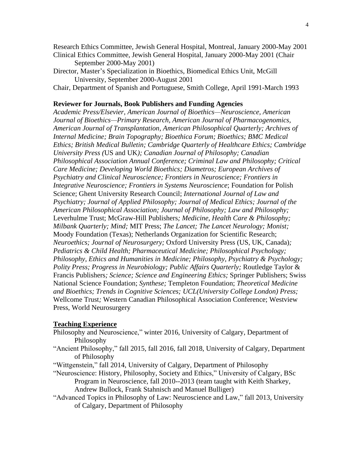Research Ethics Committee, Jewish General Hospital, Montreal, January 2000-May 2001 Clinical Ethics Committee, Jewish General Hospital, January 2000-May 2001 (Chair

September 2000-May 2001)

Director, Master's Specialization in Bioethics, Biomedical Ethics Unit, McGill University, September 2000-August 2001

Chair, Department of Spanish and Portuguese, Smith College, April 1991-March 1993

#### **Reviewer for Journals, Book Publishers and Funding Agencies**

*Academic Press/Elsevier, American Journal of Bioethics—Neuroscience, American Journal of Bioethics—Primary Research, American Journal of Pharmacogenomics, American Journal of Transplantation, American Philosophical Quarterly; Archives of Internal Medicine; Brain Topography; Bioethica Forum; Bioethics; BMC Medical Ethics; British Medical Bulletin; Cambridge Quarterly of Healthcare Ethics; Cambridge University Press (*US and UK*); Canadian Journal of Philosophy; Canadian Philosophical Association Annual Conference; Criminal Law and Philosophy; Critical Care Medicine; Developing World Bioethics; Diametros; European Archives of Psychiatry and Clinical Neuroscience; Frontiers in Neuroscience; Frontiers in Integrative Neuroscience; Frontiers in Systems Neuroscience*; Foundation for Polish Science; Ghent University Research Council; *International Journal of Law and Psychiatry; Journal of Applied Philosophy; Journal of Medical Ethics; Journal of the American Philosophical Association; Journal of Philosophy; Law and Philosophy;* Leverhulme Trust; McGraw-Hill Publishers*; Medicine, Health Care & Philosophy; Milbank Quarterly; Mind;* MIT Press; *The Lancet; The Lancet Neurology; Monist;* Moody Foundation (Texas); Netherlands Organization for Scientific Research; *Neuroethics; Journal of Neurosurgery;* Oxford University Press (US, UK, Canada)*; Pediatrics & Child Health; Pharmaceutical Medicine; Philosophical Psychology; Philosophy, Ethics and Humanities in Medicine; Philosophy, Psychiatry & Psychology; Polity Press; Progress in Neurobiology; Public Affairs Quarterly;* Routledge Taylor & Francis Publishers*; Science; Science and Engineering Ethics;* Springer Publishers; Swiss National Science Foundation; *Synthese;* Templeton Foundation; *Theoretical Medicine and Bioethics; Trends in Cognitive Sciences; UCL(University College London) Press;*  Wellcome Trust*;* Western Canadian Philosophical Association Conference; Westview Press, World Neurosurgery

#### **Teaching Experience**

- Philosophy and Neuroscience," winter 2016, University of Calgary, Department of Philosophy
- "Ancient Philosophy," fall 2015, fall 2016, fall 2018, University of Calgary, Department of Philosophy
- "Wittgenstein," fall 2014, University of Calgary, Department of Philosophy
- "Neuroscience: History, Philosophy, Society and Ethics," University of Calgary, BSc Program in Neuroscience, fall 2010--2013 (team taught with Keith Sharkey, Andrew Bullock, Frank Stahnisch and Manuel Bulliger)
- "Advanced Topics in Philosophy of Law: Neuroscience and Law," fall 2013, University of Calgary, Department of Philosophy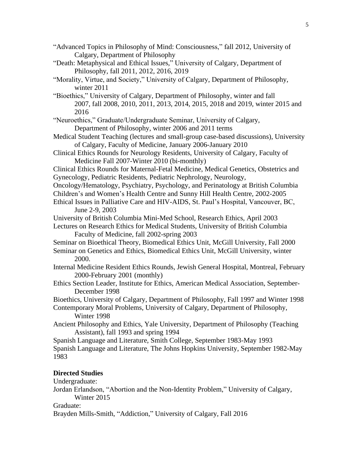"Advanced Topics in Philosophy of Mind: Consciousness," fall 2012, University of Calgary, Department of Philosophy "Death: Metaphysical and Ethical Issues," University of Calgary, Department of Philosophy, fall 2011, 2012, 2016, 2019 "Morality, Virtue, and Society," University of Calgary, Department of Philosophy, winter 2011 "Bioethics," University of Calgary, Department of Philosophy, winter and fall 2007, fall 2008, 2010, 2011, 2013, 2014, 2015, 2018 and 2019, winter 2015 and 2016 "Neuroethics," Graduate/Undergraduate Seminar, University of Calgary, Department of Philosophy, winter 2006 and 2011 terms Medical Student Teaching (lectures and small-group case-based discussions), University of Calgary, Faculty of Medicine, January 2006-January 2010 Clinical Ethics Rounds for Neurology Residents, University of Calgary, Faculty of Medicine Fall 2007-Winter 2010 (bi-monthly) Clinical Ethics Rounds for Maternal-Fetal Medicine, Medical Genetics, Obstetrics and Gynecology, Pediatric Residents, Pediatric Nephrology, Neurology, Oncology/Hematology, Psychiatry, Psychology, and Perinatology at British Columbia Children's and Women's Health Centre and Sunny Hill Health Centre, 2002-2005 Ethical Issues in Palliative Care and HIV-AIDS, St. Paul's Hospital, Vancouver, BC, June 2-9, 2003 University of British Columbia Mini-Med School, Research Ethics, April 2003 Lectures on Research Ethics for Medical Students, University of British Columbia Faculty of Medicine, fall 2002-spring 2003 Seminar on Bioethical Theory, Biomedical Ethics Unit, McGill University, Fall 2000 Seminar on Genetics and Ethics, Biomedical Ethics Unit, McGill University, winter 2000. Internal Medicine Resident Ethics Rounds, Jewish General Hospital, Montreal, February 2000-February 2001 (monthly) Ethics Section Leader, Institute for Ethics, American Medical Association, September-December 1998 Bioethics, University of Calgary, Department of Philosophy, Fall 1997 and Winter 1998 Contemporary Moral Problems, University of Calgary, Department of Philosophy, Winter 1998 Ancient Philosophy and Ethics, Yale University, Department of Philosophy (Teaching Assistant), fall 1993 and spring 1994 Spanish Language and Literature, Smith College, September 1983-May 1993 Spanish Language and Literature, The Johns Hopkins University, September 1982-May 1983 **Directed Studies** Undergraduate:

Jordan Erlandson, "Abortion and the Non-Identity Problem," University of Calgary, Winter 2015

Graduate:

Brayden Mills-Smith, "Addiction," University of Calgary, Fall 2016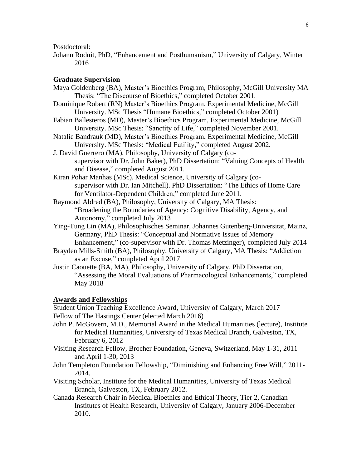Postdoctoral:

Johann Roduit, PhD, "Enhancement and Posthumanism," University of Calgary, Winter 2016

## **Graduate Supervision**

- Maya Goldenberg (BA), Master's Bioethics Program, Philosophy, McGill University MA Thesis: "The Discourse of Bioethics," completed October 2001.
- Dominique Robert (RN) Master's Bioethics Program, Experimental Medicine, McGill University. MSc Thesis "Humane Bioethics," completed October 2001)
- Fabian Ballesteros (MD), Master's Bioethics Program, Experimental Medicine, McGill University. MSc Thesis: "Sanctity of Life," completed November 2001.
- Natalie Bandrauk (MD), Master's Bioethics Program, Experimental Medicine, McGill University. MSc Thesis: "Medical Futility," completed August 2002.
- J. David Guerrero (MA), Philosophy, University of Calgary (cosupervisor with Dr. John Baker), PhD Dissertation: "Valuing Concepts of Health and Disease," completed August 2011.
- Kiran Pohar Manhas (MSc), Medical Science, University of Calgary (cosupervisor with Dr. Ian Mitchell). PhD Dissertation: "The Ethics of Home Care for Ventilator-Dependent Children," completed June 2011.
- Raymond Aldred (BA), Philosophy, University of Calgary, MA Thesis: "Broadening the Boundaries of Agency: Cognitive Disability, Agency, and Autonomy," completed July 2013
- Ying-Tung Lin (MA), Philosophisches Seminar, Johannes Gutenberg-Universitat, Mainz, Germany, PhD Thesis: "Conceptual and Normative Issues of Memory Enhancement," (co-supervisor with Dr. Thomas Metzinger), completed July 2014
- Brayden Mills-Smith (BA), Philosophy, University of Calgary, MA Thesis: "Addiction

as an Excuse," completed April 2017

Justin Caouette (BA, MA), Philosophy, University of Calgary, PhD Dissertation, "Assessing the Moral Evaluations of Pharmacological Enhancements," completed May 2018

#### **Awards and Fellowships**

Student Union Teaching Excellence Award, University of Calgary, March 2017 Fellow of The Hastings Center (elected March 2016)

- John P. McGovern, M.D., Memorial Award in the Medical Humanities (lecture), Institute for Medical Humanities, University of Texas Medical Branch, Galveston, TX, February 6, 2012
- Visiting Research Fellow, Brocher Foundation, Geneva, Switzerland, May 1-31, 2011 and April 1-30, 2013
- John Templeton Foundation Fellowship, "Diminishing and Enhancing Free Will," 2011- 2014.
- Visiting Scholar, Institute for the Medical Humanities, University of Texas Medical Branch, Galveston, TX, February 2012.
- Canada Research Chair in Medical Bioethics and Ethical Theory, Tier 2, Canadian Institutes of Health Research, University of Calgary, January 2006-December 2010.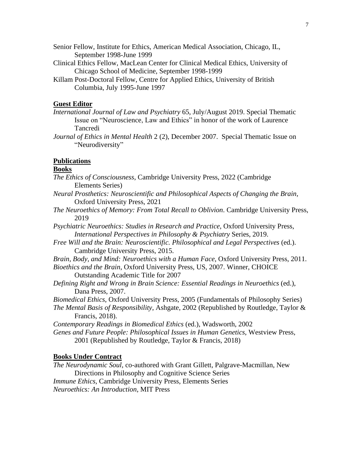- Senior Fellow, Institute for Ethics, American Medical Association, Chicago, IL, September 1998-June 1999
- Clinical Ethics Fellow, MacLean Center for Clinical Medical Ethics, University of Chicago School of Medicine, September 1998-1999
- Killam Post-Doctoral Fellow, Centre for Applied Ethics, University of British Columbia, July 1995-June 1997

## **Guest Editor**

- *International Journal of Law and Psychiatry* 65, July/August 2019. Special Thematic Issue on "Neuroscience, Law and Ethics" in honor of the work of Laurence Tancredi
- *Journal of Ethics in Mental Health* 2 (2), December 2007. Special Thematic Issue on "Neurodiversity"

## **Publications**

#### **Books**

- *The Ethics of Consciousness*, Cambridge University Press, 2022 (Cambridge Elements Series)
- *Neural Prosthetics: Neuroscientific and Philosophical Aspects of Changing the Brain,* Oxford University Press, 2021
- *The Neuroethics of Memory: From Total Recall to Oblivion*. Cambridge University Press, 2019
- *Psychiatric Neuroethics: Studies in Research and Practice*, Oxford University Press, *International Perspectives in Philosophy & Psychiatry* Series, 2019.
- *Free Will and the Brain: Neuroscientific. Philosophical and Legal Perspectives* (ed.). Cambridge University Press, 2015.
- *Brain, Body, and Mind: Neuroethics with a Human Face*, Oxford University Press, 2011.
- *Bioethics and the Brain*, Oxford University Press, US, 2007. Winner, CHOICE Outstanding Academic Title for 2007
- *Defining Right and Wrong in Brain Science: Essential Readings in Neuroethics* (ed.), Dana Press, 2007.
- *Biomedical Ethics*, Oxford University Press, 2005 (Fundamentals of Philosophy Series)
- *The Mental Basis of Responsibility*, Ashgate, 2002 (Republished by Routledge, Taylor & Francis, 2018).

*Contemporary Readings in Biomedical Ethics* (ed.), Wadsworth, 2002

*Genes and Future People: Philosophical Issues in Human Genetics*, Westview Press, 2001 (Republished by Routledge, Taylor & Francis, 2018)

#### **Books Under Contract**

*The Neurodynamic Soul*, co-authored with Grant Gillett, Palgrave-Macmillan, New Directions in Philosophy and Cognitive Science Series *Immune Ethics*, Cambridge University Press, Elements Series *Neuroethics: An Introduction*, MIT Press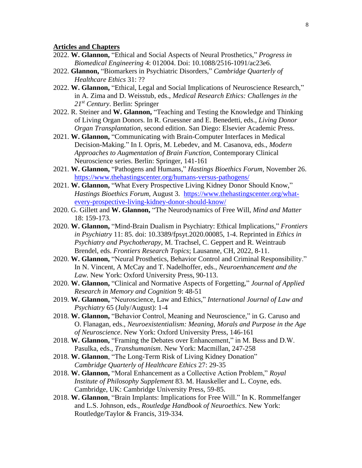## **Articles and Chapters**

- 2022. **W. Glannon,** "Ethical and Social Aspects of Neural Prosthetics," *Progress in Biomedical Engineering* 4: 012004. Doi: 10.1088/2516-1091/ac23e6.
- 2022. **Glannon,** "Biomarkers in Psychiatric Disorders," *Cambridge Quarterly of Healthcare Ethics* 31: ??
- 2022. **W. Glannon,** "Ethical, Legal and Social Implications of Neuroscience Research," in A. Zima and D. Weisstub, eds., *Medical Research Ethics: Challenges in the 21st Century*. Berlin: Springer
- 2022. R. Steiner and **W. Glannon,** "Teaching and Testing the Knowledge and Thinking of Living Organ Donors. In R. Gruessner and E. Benedetti, eds., *Living Donor Organ Transplantation*, second edition. San Diego: Elsevier Academic Press.
- 2021. **W. Glannon,** "Communicating with Brain-Computer Interfaces in Medical Decision-Making." In I. Opris, M. Lebedev, and M. Casanova, eds., *Modern Approaches to Augmentation of Brain Function*, Contemporary Clinical Neuroscience series. Berlin: Springer, 141-161
- 2021. **W. Glannon,** "Pathogens and Humans," *Hastings Bioethics Forum*, November 26. <https://www.thehastingscenter.org/humans-versus-pathogens/>
- 2021. **W. Glannon,** "What Every Prospective Living Kidney Donor Should Know," *Hastings Bioethics Forum,* August 3. [https://www.thehastingscenter.org/what](https://www.thehastingscenter.org/what-every-prospective-living-kidney-donor-should-know/)[every-prospective-living-kidney-donor-should-know/](https://www.thehastingscenter.org/what-every-prospective-living-kidney-donor-should-know/)
- 2020. G. Gillett and **W. Glannon,** "The Neurodynamics of Free Will, *Mind and Matter* 18: 159-173.
- 2020. **W. Glannon,** "Mind-Brain Dualism in Psychiatry: Ethical Implications," *Frontiers in Psychiatry* 11: 85. doi: 10.3389/fpsyt.2020.00085, 1-4. Reprinted in *Ethics in Psychiatry and Psychotherapy*, M. Trachsel, C. Geppert and R. Weintraub Brendel, eds. *Frontiers Research Topics*; Lausanne, CH, 2022, 8-11.
- 2020. **W. Glannon,** "Neural Prosthetics, Behavior Control and Criminal Responsibility." In N. Vincent, A McCay and T. Nadelhoffer, eds., *Neuroenhancement and the Law.* New York: Oxford University Press, 90-113.
- 2020. **W. Glannon,** "Clinical and Normative Aspects of Forgetting," *Journal of Applied Research in Memory and Cognition* 9: 48-51
- 2019. **W. Glannon,** "Neuroscience, Law and Ethics," *International Journal of Law and Psychiatry* 65 (July/August): 1-4
- 2018. **W. Glannon,** "Behavior Control, Meaning and Neuroscience," in G. Caruso and O. Flanagan, eds., *Neuroexistentialism: Meaning, Morals and Purpose in the Age of Neuroscience*. New York: Oxford University Press, 146-161
- 2018. **W. Glannon,** "Framing the Debates over Enhancement," in M. Bess and D.W. Pasulka, eds., *Transhumanism*. New York: Macmillan, 247-258
- 2018. **W. Glannon**, "The Long-Term Risk of Living Kidney Donation" *Cambridge Quarterly of Healthcare Ethics* 27: 29-35
- 2018. **W. Glannon,** "Moral Enhancement as a Collective Action Problem," *Royal Institute of Philosophy Supplement* 83. M. Hauskeller and L. Coyne, eds. Cambridge, UK: Cambridge University Press, 59-85.
- 2018. **W. Glannon**, "Brain Implants: Implications for Free Will." In K. Rommelfanger and L.S. Johnson, eds., *Routledge Handbook of Neuroethics*. New York: Routledge/Taylor & Francis, 319-334.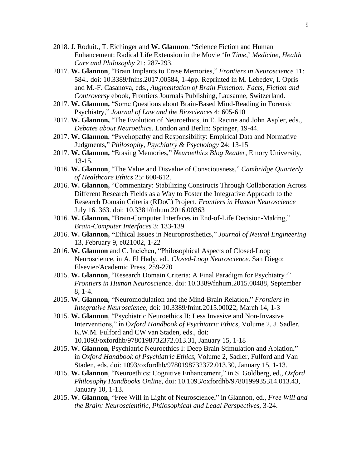- 2018. J. Roduit., T. Eichinger and **W. Glannon**. "Science Fiction and Human Enhancement: Radical Life Extension in the Movie '*In Time*,' *Medicine, Health Care and Philosophy* 21: 287-293.
- 2017. **W. Glannon**, "Brain Implants to Erase Memories," *Frontiers in Neuroscience* 11: 584.. doi: 10.3389/fnins.2017.00584, 1-4pp. Reprinted in M. Lebedev, I. Opris and M.-F. Casanova, eds., *Augmentation of Brain Function: Facts, Fiction and Controversy* ebook, Frontiers Journals Publishing, Lausanne, Switzerland.
- 2017. **W. Glannon,** "Some Questions about Brain-Based Mind-Reading in Forensic Psychiatry," *Journal of Law and the Biosciences* 4: 605-610
- 2017. **W. Glannon,** "The Evolution of Neuroethics, in E. Racine and John Aspler, eds., *Debates about Neuroethics*. London and Berlin: Springer, 19-44.
- 2017. **W. Glannon**, "Psychopathy and Responsibility: Empirical Data and Normative Judgments," *Philosophy, Psychiatry & Psychology* 24: 13-15
- 2017. **W. Glannon,** "Erasing Memories," *Neuroethics Blog Reader*, Emory University, 13-15.
- 2016. **W. Glannon**, "The Value and Disvalue of Consciousness," *Cambridge Quarterly of Healthcare Ethics* 25: 600-612.
- 2016. **W. Glannon,** "Commentary: Stabilizing Constructs Through Collaboration Across Different Research Fields as a Way to Foster the Integrative Approach to the Research Domain Criteria (RDoC) Project, *Frontiers in Human Neuroscience* July 16. 363. doi: 10.3381/fnhum.2016.00363
- 2016. **W. Glannon,** "Brain-Computer Interfaces in End-of-Life Decision-Making," *Brain-Computer Interfaces* 3: 133-139
- 2016. **W. Glannon, "**Ethical Issues in Neuroprosthetics," *Journal of Neural Engineering* 13, February 9, e021002, 1-22
- 2016. **W. Glannon** and C. Ineichen, "Philosophical Aspects of Closed-Loop Neuroscience, in A. El Hady, ed., *Closed-Loop Neuroscience*. San Diego: Elsevier/Academic Press, 259-270
- 2015. **W. Glannon**, "Research Domain Criteria: A Final Paradigm for Psychiatry?" *Frontiers in Human Neuroscience.* doi: 10.3389/fnhum.2015.00488, September 8, 1-4.
- 2015. **W. Glannon**, "Neuromodulation and the Mind-Brain Relation," *Frontiers in Integrative Neuroscience,* doi: 10.3389/fnint.2015.00022, March 14, 1-3
- 2015. **W. Glannon**, "Psychiatric Neuroethics II: Less Invasive and Non-Invasive Interventions," in O*xford Handbook of Psychiatric Ethics*, Volume 2, J. Sadler, K.W.M. Fulford and CW van Staden, eds., doi: 10.1093/oxfordhb/9780198732372.013.31, January 15, 1-18
- 2015. **W. Glannon**, Psychiatric Neuroethics I: Deep Brain Stimulation and Ablation," in *Oxford Handbook of Psychiatric Ethics*, Volume 2, Sadler, Fulford and Van Staden, eds. doi: 1093/oxfordhb/9780198732372.013.30, January 15, 1-13.
- 2015. **W. Glannon**, "Neuroethics: Cognitive Enhancement," in S. Goldberg, ed., *Oxford Philosophy Handbooks Online*, doi: 10.1093/oxfordhb/9780199935314.013.43, January 10, 1-13.
- 2015. **W. Glannon**, "Free Will in Light of Neuroscience," in Glannon, ed., *Free Will and the Brain: Neuroscientific, Philosophical and Legal Perspectives,* 3-24.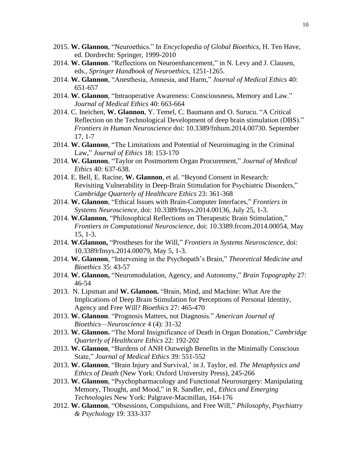- 2015. **W. Glannon**, "Neuroethics." In *Encyclopedia of Global Bioethics*, H. Ten Have, ed. Dordrecht: Springer, 1999-2010
- 2014. **W. Glannon**. "Reflections on Neuroenhancement," in N. Levy and J. Clausen, eds., *Springer Handbook of Neuroethics*, 1251-1265.
- 2014. **W. Glannon**, "Anesthesia, Amnesia, and Harm," *Journal of Medical Ethics* 40: 651-657
- 2014. **W. Glannon**, "Intraoperative Awareness: Consciousness, Memory and Law." *Journal of Medical Ethics* 40: 663-664
- 2014. C. Ineichen, **W. Glannon**, Y. Temel, C. Baumann and O. Surucu. "A Critical Reflection on the Technological Development of deep brain stimulation (DBS)." *Frontiers in Human Neuroscience* doi: 10.3389/fnhum.2014.00730. September 17, 1-7
- 2014. **W. Glannon**, "The Limitations and Potential of Neuroimaging in the Criminal Law," *Journal of Ethics* 18: 153-170
- 2014. **W. Glannon**, "Taylor on Postmortem Organ Procurement," *Journal of Medical Ethics* 40: 637-638.
- 2014. E. Bell, E. Racine, **W. Glannon**, et al. "Beyond Consent in Research: Revisiting Vulnerability in Deep-Brain Stimulation for Psychiatric Disorders," *Cambridge Quarterly of Healthcare Ethics* 23: 361-368
- 2014. **W. Glannon**, "Ethical Issues with Brain-Computer Interfaces," *Frontiers in Systems Neuroscience,* doi: 10.3389/fnsys.2014.00136, July 25, 1-3.
- 2014. **W.Glannon**, "Philosophical Reflections on Therapeutic Brain Stimulation," *Frontiers in Computational Neuroscience*, doi: 10.3389.frcom.2014.00054, May 15, 1-3.
- 2014. **W.Glannon,** "Prostheses for the Will," *Frontiers in Systems Neuroscience,* doi: 10.3389/fnsys.2014.00079, May 5, 1-3.
- 2014. **W. Glannon**, "Intervening in the Psychopath's Brain," *Theoretical Medicine and Bioethics* 35: 43-57
- 2014. **W. Glannon,** "Neuromodulation, Agency, and Autonomy," *Brain Topography* 27: 46-54
- 2013. N. Lipsman and **W. Glannon.** "Brain, Mind, and Machine: What Are the Implications of Deep Brain Stimulation for Perceptions of Personal Identity, Agency and Free Will? *Bioethics* 27: 465-470
- 2013. **W. Glannon**. "Prognosis Matters, not Diagnosis." *American Journal of Bioethics—Neuroscience* 4 (4): 31-32
- 2013. **W. Glannon.** "The Moral Insignificance of Death in Organ Donation," *Cambridge Quarterly of Healthcare Ethics* 22: 192-202
- 2013. **W. Glannon**, "Burdens of ANH Outweigh Benefits in the Minimally Conscious State," *Journal of Medical Ethics* 39: 551-552
- 2013. **W. Glannon**, "Brain Injury and Survival,' in J, Taylor, ed. *The Metaphysics and Ethics of Death* (New York: Oxford University Press), 245-266
- 2013. **W. Glannon**, "Psychopharmacology and Functional Neurosurgery: Manipulating Memory, Thought, and Mood," in R. Sandler, ed., *Ethics and Emerging Technologies* New York: Palgrave-Macmillan, 164-176
- 2012. **W. Glannon**, "Obsessions, Compulsions, and Free Will," *Philosophy, Psychiatry & Psychology* 19: 333-337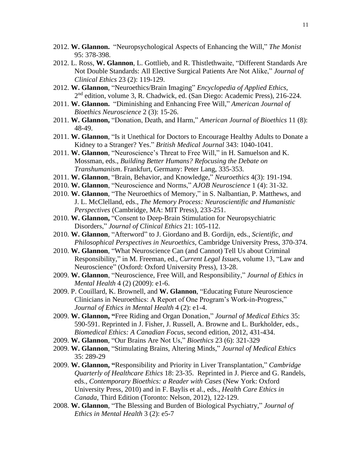- 2012. **W. Glannon.** "Neuropsychological Aspects of Enhancing the Will," *The Monist* 95: 378-398.
- 2012. L. Ross, **W. Glannon**, L. Gottlieb, and R. Thistlethwaite, "Different Standards Are Not Double Standards: All Elective Surgical Patients Are Not Alike," *Journal of Clinical Ethics* 23 (2): 119-129.
- 2012. **W. Glannon**, "Neuroethics/Brain Imaging" *Encyclopedia of Applied Ethics*, 2<sup>nd</sup> edition, volume 3, R. Chadwick, ed. (San Diego: Academic Press), 216-224.
- 2011. **W. Glannon.** "Diminishing and Enhancing Free Will," *American Journal of Bioethics Neuroscience* 2 (3): 15-26.
- 2011. **W. Glannon,** "Donation, Death, and Harm," *American Journal of Bioethics* 11 (8): 48-49.
- 2011. **W. Glannon**, "Is it Unethical for Doctors to Encourage Healthy Adults to Donate a Kidney to a Stranger? Yes." *British Medical Journal* 343: 1040-1041.
- 2011. **W. Glannon**, "Neuroscience's Threat to Free Will," in H. Samuelson and K. Mossman, eds., *Building Better Humans? Refocusing the Debate on Transhumanism*. Frankfurt, Germany: Peter Lang, 335-353.
- 2011. **W. Glannon**, "Brain, Behavior, and Knowledge," *Neuroethics* 4(3): 191-194.
- 2010. **W. Glannon**, "Neuroscience and Norms," *AJOB Neuroscience* 1 (4): 31-32.
- 2010. **W. Glannon**, "The Neuroethics of Memory," in S. Nalbantian, P. Matthews, and J. L. McClelland, eds., *The Memory Process: Neuroscientific and Humanistic Perspectives* (Cambridge, MA: MIT Press), 233-251.
- 2010. **W. Glannon,** "Consent to Deep-Brain Stimulation for Neuropsychiatric Disorders," *Journal of Clinical Ethics* 21: 105-112.
- 2010. **W. Glannon**, "Afterword" to J. Giordano and B. Gordijn, eds., *Scientific, and Philosophical Perspectives in Neuroethics*, Cambridge University Press, 370-374.
- 2010. **W. Glannon**, "What Neuroscience Can (and Cannot) Tell Us about Criminal Responsibility," in M. Freeman, ed., *Current Legal Issues*, volume 13, "Law and Neuroscience" (Oxford: Oxford University Press), 13-28.
- 2009. **W. Glannon**, "Neuroscience, Free Will, and Responsibility," *Journal of Ethics in Mental Health* 4 (2) (2009): e1-6.
- 2009. P. Couillard, K. Brownell, and **W. Glannon**, "Educating Future Neuroscience Clinicians in Neuroethics: A Report of One Program's Work-in-Progress," *Journal of Ethics in Mental Health* 4 (2): e1-4.
- 2009. **W. Glannon, "**Free Riding and Organ Donation," *Journal of Medical Ethics* 35: 590-591. Reprinted in J. Fisher, J. Russell, A. Browne and L. Burkholder, eds., *Biomedical Ethics: A Canadian Focus*, second edition, 2012, 431-434.
- 2009. **W. Glannon**, "Our Brains Are Not Us," *Bioethics* 23 (6): 321-329
- 2009. **W. Glannon**, "Stimulating Brains, Altering Minds," *Journal of Medical Ethics* 35: 289-29
- 2009. **W. Glannon, "**Responsibility and Priority in Liver Transplantation," *Cambridge Quarterly of Healthcare Ethics* 18: 23-35. Reprinted in J. Pierce and G. Randels, eds., *Contemporary Bioethics: a Reader with Cases* (New York: Oxford University Press, 2010) and in F. Baylis et al., eds., *Health Care Ethics in Canada*, Third Edition (Toronto: Nelson, 2012), 122-129.
- 2008. **W. Glannon**, "The Blessing and Burden of Biological Psychiatry," *Journal of Ethics in Mental Health* 3 (2): e5-7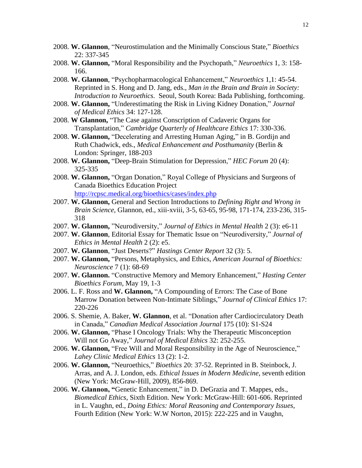- 2008. **W. Glannon**, "Neurostimulation and the Minimally Conscious State," *Bioethics* 22: 337-345
- 2008. **W. Glannon,** "Moral Responsibility and the Psychopath," *Neuroethics* 1, 3: 158- 166.
- 2008. **W. Glannon**, "Psychopharmacological Enhancement," *Neuroethics* 1,1: 45-54. Reprinted in S. Hong and D. Jang, eds., *Man in the Brain and Brain in Society: Introduction to Neuroethics*. Seoul, South Korea: Bada Publishing, forthcoming.
- 2008. **W. Glannon,** "Underestimating the Risk in Living Kidney Donation," *Journal of Medical Ethics* 34: 127-128.
- 2008. **W Glannon,** "The Case against Conscription of Cadaveric Organs for Transplantation," *Cambridge Quarterly of Healthcare Ethics* 17: 330-336.
- 2008. **W. Glannon,** "Decelerating and Arresting Human Aging," in B. Gordijn and Ruth Chadwick, eds., *Medical Enhancement and Posthumanity* (Berlin & London: Springer, 188-203
- 2008. **W. Glannon,** "Deep-Brain Stimulation for Depression," *HEC Forum* 20 (4): 325-335
- 2008. **W. Glannon,** "Organ Donation," Royal College of Physicians and Surgeons of Canada Bioethics Education Project <http://rcpsc.medical.org/bioethics/cases/index.php>
- 2007. **W. Glannon,** General and Section Introductions to *Defining Right and Wrong in Brain Science*, Glannon, ed., xiii-xviii, 3-5, 63-65, 95-98, 171-174, 233-236, 315- 318
- 2007. **W. Glannon,** "Neurodiversity," *Journal of Ethics in Mental Health* 2 (3): e6-11
- 2007. **W. Glannon**, Editorial Essay for Thematic Issue on "Neurodiversity," *Journal of Ethics in Mental Health* 2 (2): e5.
- 2007. **W. Glannon**, "Just Deserts?" *Hastings Center Report* 32 (3): 5.
- 2007. **W. Glannon,** "Persons, Metaphysics, and Ethics, *American Journal of Bioethics: Neuroscience* 7 (1): 68-69
- 2007. **W. Glannon.** "Constructive Memory and Memory Enhancement," *Hasting Center Bioethics Forum*, May 19, 1-3
- 2006. L. F. Ross and **W. Glannon,** "A Compounding of Errors: The Case of Bone Marrow Donation between Non-Intimate Siblings," *Journal of Clinical Ethics* 17: 220-226
- 2006. S. Shemie, A. Baker, **W. Glannon**, et al. "Donation after Cardiocirculatory Death in Canada," *Canadian Medical Association Journal* 175 (10): S1-S24
- 2006. **W. Glannon,** "Phase I Oncology Trials: Why the Therapeutic Misconception Will not Go Away," *Journal of Medical Ethics* 32: 252-255.
- 2006. **W. Glannon,** "Free Will and Moral Responsibility in the Age of Neuroscience," *Lahey Clinic Medical Ethics* 13 (2): 1-2.
- 2006. **W. Glannon,** "Neuroethics," *Bioethics* 20: 37-52. Reprinted in B. Steinbock, J. Arras, and A. J. London, eds. *Ethical Issues in Modern Medicine*, seventh edition (New York: McGraw-Hill, 2009), 856-869.
- 2006. **W. Glannon, "**Genetic Enhancement," in D. DeGrazia and T. Mappes, eds., *Biomedical Ethics*, Sixth Edition. New York: McGraw-Hill: 601-606. Reprinted in L. Vaughn, ed., *Doing Ethics: Moral Reasoning and Contemporary Issues*, Fourth Edition (New York: W.W Norton, 2015): 222-225 and in Vaughn,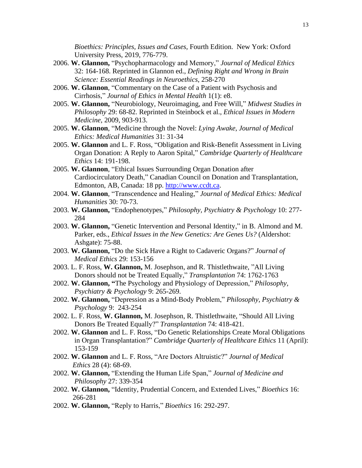*Bioethics: Principles, Issues and Cases,* Fourth Edition. New York: Oxford University Press, 2019, 776-779.

- 2006. **W. Glannon,** "Psychopharmacology and Memory," *Journal of Medical Ethics* 32: 164-168. Reprinted in Glannon ed., *Defining Right and Wrong in Brain Science: Essential Readings in Neuroethics*, 258-270
- 2006. **W. Glannon**, "Commentary on the Case of a Patient with Psychosis and Cirrhosis," *Journal of Ethics in Mental Health* 1(1): e8.
- 2005. **W. Glannon,** "Neurobiology, Neuroimaging, and Free Will," *Midwest Studies in Philosophy* 29: 68-82. Reprinted in Steinbock et al., *Ethical Issues in Modern Medicine*, 2009, 903-913.
- 2005. **W. Glannon**, "Medicine through the Novel: *Lying Awake*, *Journal of Medical Ethics: Medical Humanities* 31: 31-34
- 2005. **W. Glannon** and L. F. Ross, "Obligation and Risk-Benefit Assessment in Living Organ Donation: A Reply to Aaron Spital," *Cambridge Quarterly of Healthcare Ethics* 14: 191-198.
- 2005. **W. Glannon**, "Ethical Issues Surrounding Organ Donation after Cardiocirculatory Death," Canadian Council on Donation and Transplantation, Edmonton, AB, Canada: 18 pp. [http://www.ccdt.ca.](http://www.ccdt.ca/)
- 2004. **W. Glannon**, "Transcendence and Healing," *Journal of Medical Ethics: Medical Humanities* 30: 70-73.
- 2003. **W. Glannon,** "Endophenotypes," *Philosophy, Psychiatry & Psychology* 10: 277- 284
- 2003. **W. Glannon,** "Genetic Intervention and Personal Identity," in B. Almond and M. Parker, eds., *Ethical Issues in the New Genetics: Are Genes Us?* (Aldershot: Ashgate): 75-88.
- 2003. **W. Glannon,** "Do the Sick Have a Right to Cadaveric Organs?" *Journal of Medical Ethics* 29: 153-156
- 2003. L. F. Ross, **W. Glannon,** M. Josephson, and R. Thistlethwaite, "All Living Donors should not be Treated Equally," *Transplantation* 74: 1762-1763
- 2002. **W. Glannon, "**The Psychology and Physiology of Depression," *Philosophy, Psychiatry & Psychology* 9: 265-269.
- 2002. **W. Glannon,** "Depression as a Mind-Body Problem," *Philosophy, Psychiatry & Psychology* 9: 243-254
- 2002. L. F. Ross, **W. Glannon,** M. Josephson, R. Thistlethwaite, "Should All Living Donors Be Treated Equally?" *Transplantation* 74: 418-421.
- 2002. **W. Glannon** and L. F. Ross, "Do Genetic Relationships Create Moral Obligations in Organ Transplantation?" *Cambridge Quarterly of Healthcare Ethics* 11 (April): 153-159
- 2002. **W. Glannon** and L. F. Ross, "Are Doctors Altruistic?" *Journal of Medical Ethics* 28 (4): 68-69.
- 2002. **W. Glannon,** "Extending the Human Life Span," *Journal of Medicine and Philosophy* 27: 339-354
- 2002. **W. Glannon,** "Identity, Prudential Concern, and Extended Lives," *Bioethics* 16: 266-281
- 2002. **W. Glannon,** "Reply to Harris," *Bioethics* 16: 292-297.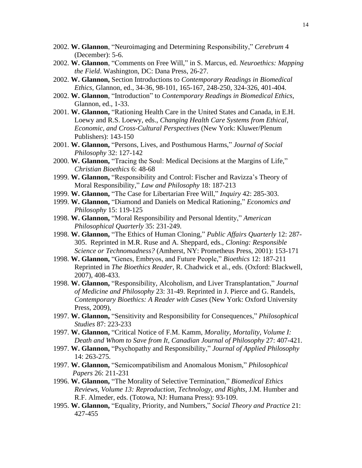- 2002. **W. Glannon**, "Neuroimaging and Determining Responsibility," *Cerebrum* 4 (December): 5-6.
- 2002. **W. Glannon**, "Comments on Free Will," in S. Marcus, ed. *Neuroethics: Mapping the Field*. Washington, DC: Dana Press, 26-27.
- 2002. **W. Glannon,** Section Introductions to *Contemporary Readings in Biomedical Ethics*, Glannon, ed., 34-36, 98-101, 165-167, 248-250, 324-326, 401-404.
- 2002. **W. Glannon**, "Introduction" to *Contemporary Readings in Biomedical Ethics*, Glannon, ed., 1-33.
- 2001. **W. Glannon,** "Rationing Health Care in the United States and Canada, in E.H. Loewy and R.S. Loewy, eds., *Changing Health Care Systems from Ethical, Economic, and Cross-Cultural Perspectives* (New York: Kluwer/Plenum Publishers): 143-150
- 2001. **W. Glannon,** "Persons, Lives, and Posthumous Harms," *Journal of Social Philosophy* 32: 127-142
- 2000. **W. Glannon,** "Tracing the Soul: Medical Decisions at the Margins of Life," *Christian Bioethics* 6: 48-68
- 1999. **W. Glannon,** "Responsibility and Control: Fischer and Ravizza's Theory of Moral Responsibility," *Law and Philosophy* 18: 187-213
- 1999. **W. Glannon,** "The Case for Libertarian Free Will," *Inquiry* 42: 285-303.
- 1999. **W. Glannon,** "Diamond and Daniels on Medical Rationing," *Economics and Philosophy* 15: 119-125
- 1998. **W. Glannon,** "Moral Responsibility and Personal Identity," *American Philosophical Quarterly* 35: 231-249.
- 1998. **W. Glannon,** "The Ethics of Human Cloning," *Public Affairs Quarterly* 12: 287- 305. Reprinted in M.R. Ruse and A. Sheppard, eds., *Cloning: Responsible Science or Technomadness?* (Amherst, NY: Prometheus Press, 2001): 153-171
- 1998. **W. Glannon,** "Genes, Embryos, and Future People," *Bioethics* 12: 187-211 Reprinted in *The Bioethics Reader*, R. Chadwick et al., eds. (Oxford: Blackwell, 2007), 408-433.
- 1998. **W. Glannon,** "Responsibility, Alcoholism, and Liver Transplantation," *Journal of Medicine and Philosophy* 23: 31-49. Reprinted in J. Pierce and G. Randels, *Contemporary Bioethics: A Reader with Cases* (New York: Oxford University Press, 2009),
- 1997. **W. Glannon,** "Sensitivity and Responsibility for Consequences," *Philosophical Studies* 87: 223-233
- 1997. **W. Glannon,** "Critical Notice of F.M. Kamm, *Morality, Mortality, Volume I: Death and Whom to Save from It*, *Canadian Journal of Philosophy* 27: 407-421.
- 1997. **W. Glannon,** "Psychopathy and Responsibility," *Journal of Applied Philosophy* 14: 263-275.
- 1997. **W. Glannon,** "Semicompatibilism and Anomalous Monism," *Philosophical Papers* 26: 211-231
- 1996. **W. Glannon,** "The Morality of Selective Termination," *Biomedical Ethics Reviews, Volume 13: Reproduction, Technology, and Rights*, J.M. Humber and R.F. Almeder, eds. (Totowa, NJ: Humana Press): 93-109.
- 1995. **W. Glannon,** "Equality, Priority, and Numbers," *Social Theory and Practice* 21: 427-455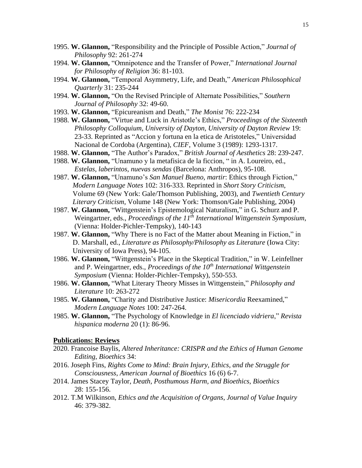- 1995. **W. Glannon,** "Responsibility and the Principle of Possible Action," *Journal of Philosophy* 92: 261-274
- 1994. **W. Glannon,** "Omnipotence and the Transfer of Power," *International Journal for Philosophy of Religion* 36: 81-103.
- 1994. **W. Glannon,** "Temporal Asymmetry, Life, and Death," *American Philosophical Quarterly* 31: 235-244
- 1994. **W. Glannon,** "On the Revised Principle of Alternate Possibilities," *Southern Journal of Philosophy* 32: 49-60.
- 1993. **W. Glannon,** "Epicureanism and Death," *The Monist* 76: 222-234
- 1988. **W. Glannon,** "Virtue and Luck in Aristotle's Ethics," *Proceedings of the Sixteenth Philosophy Colloquium, University of Dayton, University of Dayton Review* 19: 23-33. Reprinted as "Accion y fortuna en la etica de Aristoteles," Universidad Nacional de Cordoba (Argentina), *CIEF*, Volume 3 (1989): 1293-1317.
- 1988. **W. Glannon,** "The Author's Paradox," *British Journal of Aesthetics* 28: 239-247.
- 1988. **W. Glannon,** "Unamuno y la metafisica de la ficcion, " in A. Loureiro, ed., *Estelas, laberintos, nuevas sendas* (Barcelona: Anthropos), 95-108.
- 1987. **W. Glannon,** "Unamuno's *San Manuel Bueno, martir*: Ethics through Fiction," *Modern Language Notes* 102: 316-333. Reprinted in *Short Story Criticism*, Volume 69 (New York: Gale/Thomson Publishing, 2003), and *Twentieth Century Literary Criticism*, Volume 148 (New York: Thomson/Gale Publishing, 2004)
- 1987. **W. Glannon,** "Wittgenstein's Epistemological Naturalism," in G. Schurz and P. Weingartner, eds., *Proceedings of the 11th International Wittgenstein Symposium,* (Vienna: Holder-Pichler-Tempsky), 140-143
- 1987. **W. Glannon,** "Why There is no Fact of the Matter about Meaning in Fiction," in D. Marshall, ed., *Literature as Philosophy/Philosophy as Literature* (Iowa City: University of Iowa Press), 94-105.
- 1986. **W. Glannon,** "Wittgenstein's Place in the Skeptical Tradition," in W. Leinfellner and P. Weingartner, eds., *Proceedings of the 10th International Wittgenstein Symposium* (Vienna: Holder-Pichler-Tempsky), 550-553.
- 1986. **W. Glannon,** "What Literary Theory Misses in Wittgenstein," *Philosophy and Literature* 10: 263-272
- 1985. **W. Glannon,** "Charity and Distributive Justice: *Misericordia* Reexamined," *Modern Language Notes* 100: 247-264.
- 1985. **W. Glannon,** "The Psychology of Knowledge in *El licenciado vidriera*," *Revista hispanica moderna* 20 (1): 86-96.

### **Publications: Reviews**

- 2020. Francoise Baylis, *Altered Inheritance: CRISPR and the Ethics of Human Genome Editing, Bioethics* 34:
- 2016. Joseph Fins, *Rights Come to Mind: Brain Injury, Ethics, and the Struggle for Consciousness*, *American Journal of Bioethics* 16 (6) 6-7.
- 2014. James Stacey Taylor, *Death, Posthumous Harm, and Bioethics*, *Bioethics* 28: 155-156.
- 2012. T.M Wilkinson, *Ethics and the Acquisition of Organs*, *Journal of Value Inquiry* 46: 379-382.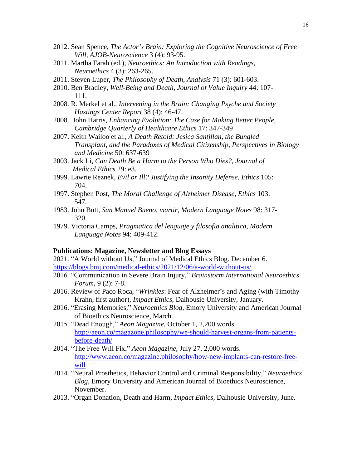- 2012. Sean Spence, *The Actor's Brain: Exploring the Cognitive Neuroscience of Free Will, AJOB-Neuroscience* 3 (4): 93-95.
- 2011. Martha Farah (ed.), *Neuroethics: An Introduction with Readings*, *Neuroethics* 4 (3): 263-265.
- 2011. Steven Luper, *The Philosophy of Death*, *Analysis* 71 (3): 601-603.
- 2010. Ben Bradley, *Well-Being and Death*, *Journal of Value Inquiry* 44: 107- 111.
- 2008. R. Merkel et al., *Intervening in the Brain: Changing Psyche and Society Hastings Center Report* 38 (4): 46-47.
- 2008. John Harris, *Enhancing Evolution: The Case for Making Better People*, *Cambridge Quarterly of Healthcare Ethics* 17: 347-349
- 2007. Keith Wailoo et al., *A Death Retold: Jesica Santillan, the Bungled Transplant, and the Paradoxes of Medical Citizenship*, *Perspectives in Biology and Medicine* 50: 637-639
- 2003. Jack Li, *Can Death Be a Harm to the Person Who Dies?*, *Journal of Medical Ethics* 29: e3.
- 1999. Lawrie Reznek, *Evil or Ill? Justifying the Insanity Defense*, *Ethics* 105: 704.
- 1997. Stephen Post, *The Moral Challenge of Alzheimer Disease*, *Ethics* 103: 547.
- 1983. John Butt, *San Manuel Bueno, martir*, *Modern Language Notes* 98: 317- 320.
- 1979. Victoria Camps, *Pragmatica del lenguaje y filosofia analitica*, *Modern Language Notes* 94: 409-412.

## **Publications: Magazine, Newsletter and Blog Essays**

2021. "A World without Us," Journal of Medical Ethics Blog. December 6. <https://blogs.bmj.com/medical-ethics/2021/12/06/a-world-without-us/>

- 2016. "Communication in Severe Brain Injury," *Brainstorm International Neuroethics Forum*, 9 (2): 7-8.
- 2016. Review of Paco Roca, "*Wrinkles*: Fear of Alzheimer's and Aging (with Timothy Krahn, first author), *Impact Ethics*, Dalhousie University, January.
- 2016. "Erasing Memories," *Neuroethics Blog*, Emory University and American Journal of Bioethics Neuroscience, March.
- 2015. "Dead Enough," *Aeon Magazine*, October 1, 2,200 words. [http://aeon.co/magazone.philosophy/we-should-harvest-organs-from-patients](http://aeon.co/magazone.philosophy/we-should-harvest-organs-from-patients-before-death/)[before-death/](http://aeon.co/magazone.philosophy/we-should-harvest-organs-from-patients-before-death/)
- 2014. "The Free Will Fix," *Aeon Magazine*, July 27, 2,000 words. [http://www.aeon.co/magazine.philosophy/how-new-implants-can-restore-free](http://www.aeon.co/magazine.philosophy/how-new-implants-can-restore-free-will)[will](http://www.aeon.co/magazine.philosophy/how-new-implants-can-restore-free-will)
- 2014. "Neural Prosthetics, Behavior Control and Criminal Responsibility," *Neuroethics Blog*, Emory University and American Journal of Bioethics Neuroscience, November.
- 2013. "Organ Donation, Death and Harm, *Impact Ethics*, Dalhousie University, June.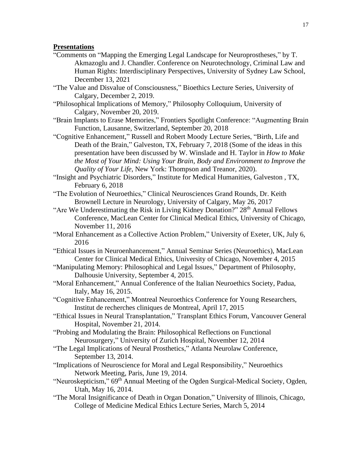## **Presentations**

- "Comments on "Mapping the Emerging Legal Landscape for Neuroprostheses," by T. Akmazoglu and J. Chandler. Conference on Neurotechnology, Criminal Law and Human Rights: Interdisciplinary Perspectives, University of Sydney Law School, December 13, 2021
- "The Value and Disvalue of Consciousness," Bioethics Lecture Series, University of Calgary, December 2, 2019.
- "Philosophical Implications of Memory," Philosophy Colloquium, University of Calgary, November 20, 2019.
- "Brain Implants to Erase Memories," Frontiers Spotlight Conference: "Augmenting Brain Function, Lausanne, Switzerland, September 20, 2018
- "Cognitive Enhancement," Russell and Robert Moody Lecture Series, "Birth, Life and Death of the Brain," Galveston, TX, February 7, 2018 (Some of the ideas in this presentation have been discussed by W. Winslade and H. Taylor in *How to Make the Most of Your Mind: Using Your Brain, Body and Environment to Improve the Quality of Your Life*, New York: Thompson and Treanor, 2020).

"Insight and Psychiatric Disorders," Institute for Medical Humanities, Galveston , TX, February 6, 2018

- "The Evolution of Neuroethics," Clinical Neurosciences Grand Rounds, Dr. Keith Brownell Lecture in Neurology, University of Calgary, May 26, 2017
- "Are We Underestimating the Risk in Living Kidney Donation?" 28<sup>th</sup> Annual Fellows Conference, MacLean Center for Clinical Medical Ethics, University of Chicago, November 11, 2016
- "Moral Enhancement as a Collective Action Problem," University of Exeter, UK, July 6, 2016
- "Ethical Issues in Neuroenhancement," Annual Seminar Series (Neuroethics), MacLean Center for Clinical Medical Ethics, University of Chicago, November 4, 2015
- "Manipulating Memory: Philosophical and Legal Issues," Department of Philosophy, Dalhousie University, September 4, 2015.
- "Moral Enhancement," Annual Conference of the Italian Neuroethics Society, Padua, Italy, May 16, 2015.
- "Cognitive Enhancement," Montreal Neuroethics Conference for Young Researchers, Institut de recherches cliniques de Montreal, April 17, 2015
- "Ethical Issues in Neural Transplantation," Transplant Ethics Forum, Vancouver General Hospital, November 21, 2014.
- "Probing and Modulating the Brain: Philosophical Reflections on Functional Neurosurgery," University of Zurich Hospital, November 12, 2014
- "The Legal Implications of Neural Prosthetics," Atlanta Neurolaw Conference, September 13, 2014.
- "Implications of Neuroscience for Moral and Legal Responsibility," Neuroethics Network Meeting, Paris, June 19, 2014.
- "Neuroskepticism," 69<sup>th</sup> Annual Meeting of the Ogden Surgical-Medical Society, Ogden, Utah, May 16, 2014.
- "The Moral Insignificance of Death in Organ Donation," University of Illinois, Chicago, College of Medicine Medical Ethics Lecture Series, March 5, 2014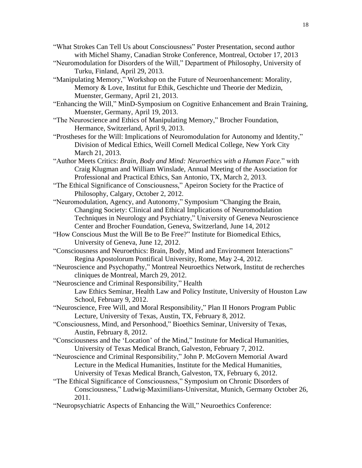"What Strokes Can Tell Us about Consciousness" Poster Presentation, second author with Michel Shamy, Canadian Stroke Conference, Montreal, October 17, 2013

- "Neuromodulation for Disorders of the Will," Department of Philosophy, University of Turku, Finland, April 29, 2013.
- "Manipulating Memory," Workshop on the Future of Neuroenhancement: Morality, Memory & Love, Institut fur Ethik, Geschichte und Theorie der Medizin, Muenster, Germany, April 21, 2013.

"Enhancing the Will," MinD-Symposium on Cognitive Enhancement and Brain Training, Muenster, Germany, April 19, 2013.

"The Neuroscience and Ethics of Manipulating Memory," Brocher Foundation, Hermance, Switzerland, April 9, 2013.

"Prostheses for the Will: Implications of Neuromodulation for Autonomy and Identity," Division of Medical Ethics, Weill Cornell Medical College, New York City March 21, 2013.

"Author Meets Critics: *Brain, Body and Mind: Neuroethics with a Human Face.*" with Craig Klugman and William Winslade, Annual Meeting of the Association for Professional and Practical Ethics, San Antonio, TX, March 2, 2013.

"The Ethical Significance of Consciousness," Apeiron Society for the Practice of Philosophy, Calgary, October 2, 2012.

"Neuromodulation, Agency, and Autonomy," Symposium "Changing the Brain, Changing Society: Clinical and Ethical Implications of Neuromodulation Techniques in Neurology and Psychiatry," University of Geneva Neuroscience Center and Brocher Foundation, Geneva, Switzerland, June 14, 2012

- "How Conscious Must the Will Be to Be Free?" Institute for Biomedical Ethics, University of Geneva, June 12, 2012.
- "Consciousness and Neuroethics: Brain, Body, Mind and Environment Interactions" Regina Apostolorum Pontifical University, Rome, May 2-4, 2012.
- "Neuroscience and Psychopathy," Montreal Neuroethics Network, Institut de recherches cliniques de Montreal, March 29, 2012.
- "Neuroscience and Criminal Responsibility," Health Law Ethics Seminar, Health Law and Policy Institute, University of Houston Law School, February 9, 2012.
- "Neuroscience, Free Will, and Moral Responsibility," Plan II Honors Program Public Lecture, University of Texas, Austin, TX, February 8, 2012.

"Consciousness, Mind, and Personhood," Bioethics Seminar, University of Texas, Austin, February 8, 2012.

- "Consciousness and the 'Location' of the Mind," Institute for Medical Humanities, University of Texas Medical Branch, Galveston, February 7, 2012.
- "Neuroscience and Criminal Responsibility," John P. McGovern Memorial Award Lecture in the Medical Humanities, Institute for the Medical Humanities, University of Texas Medical Branch, Galveston, TX, February 6, 2012.

"The Ethical Significance of Consciousness," Symposium on Chronic Disorders of Consciousness," Ludwig-Maximilians-Universitat, Munich, Germany October 26, 2011.

"Neuropsychiatric Aspects of Enhancing the Will," Neuroethics Conference: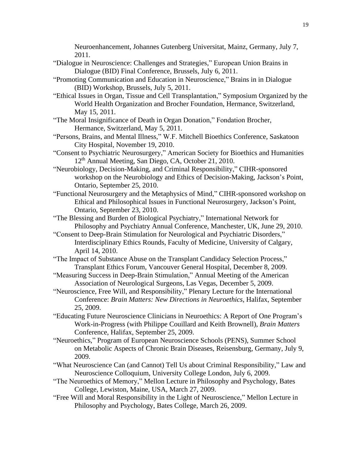Neuroenhancement, Johannes Gutenberg Universitat, Mainz, Germany, July 7, 2011.

- "Dialogue in Neuroscience: Challenges and Strategies," European Union Brains in Dialogue (BID) Final Conference, Brussels, July 6, 2011.
- "Promoting Communication and Education in Neuroscience," Brains in in Dialogue (BID) Workshop, Brussels, July 5, 2011.
- "Ethical Issues in Organ, Tissue and Cell Transplantation," Symposium Organized by the World Health Organization and Brocher Foundation, Hermance, Switzerland, May 15, 2011.
- "The Moral Insignificance of Death in Organ Donation," Fondation Brocher, Hermance, Switzerland, May 5, 2011.
- "Persons, Brains, and Mental Illness," W.F. Mitchell Bioethics Conference, Saskatoon City Hospital, November 19, 2010.
- "Consent to Psychiatric Neurosurgery," American Society for Bioethics and Humanities 12 th Annual Meeting, San Diego, CA, October 21, 2010.
- "Neurobiology, Decision-Making, and Criminal Responsibility," CIHR-sponsored workshop on the Neurobiology and Ethics of Decision-Making, Jackson's Point, Ontario, September 25, 2010.
- "Functional Neurosurgery and the Metaphysics of Mind," CIHR-sponsored workshop on Ethical and Philosophical Issues in Functional Neurosurgery, Jackson's Point, Ontario, September 23, 2010.
- "The Blessing and Burden of Biological Psychiatry," International Network for Philosophy and Psychiatry Annual Conference, Manchester, UK, June 29, 2010.
- "Consent to Deep-Brain Stimulation for Neurological and Psychiatric Disorders," Interdisciplinary Ethics Rounds, Faculty of Medicine, University of Calgary, April 14, 2010.
- "The Impact of Substance Abuse on the Transplant Candidacy Selection Process," Transplant Ethics Forum, Vancouver General Hospital, December 8, 2009.
- "Measuring Success in Deep-Brain Stimulation," Annual Meeting of the American Association of Neurological Surgeons, Las Vegas, December 5, 2009.
- "Neuroscience, Free Will, and Responsibility," Plenary Lecture for the International Conference: *Brain Matters: New Directions in Neuroethics*, Halifax, September 25, 2009.
- "Educating Future Neuroscience Clinicians in Neuroethics: A Report of One Program's Work-in-Progress (with Philippe Couillard and Keith Brownell), *Brain Matters* Conference, Halifax, September 25, 2009.
- "Neuroethics," Program of European Neuroscience Schools (PENS), Summer School on Metabolic Aspects of Chronic Brain Diseases, Reisensburg, Germany, July 9, 2009.
- "What Neuroscience Can (and Cannot) Tell Us about Criminal Responsibility," Law and Neuroscience Colloquium, University College London, July 6, 2009.
- "The Neuroethics of Memory," Mellon Lecture in Philosophy and Psychology, Bates College, Lewiston, Maine, USA, March 27, 2009.
- "Free Will and Moral Responsibility in the Light of Neuroscience," Mellon Lecture in Philosophy and Psychology, Bates College, March 26, 2009.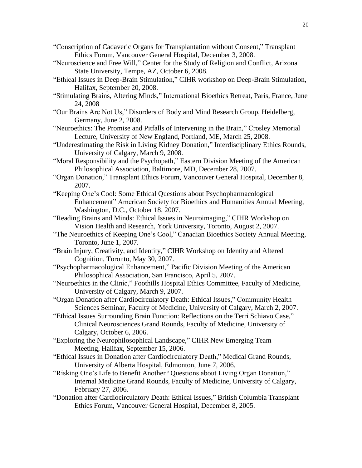- "Conscription of Cadaveric Organs for Transplantation without Consent," Transplant Ethics Forum, Vancouver General Hospital, December 3, 2008.
- "Neuroscience and Free Will," Center for the Study of Religion and Conflict, Arizona State University, Tempe, AZ, October 6, 2008.
- "Ethical Issues in Deep-Brain Stimulation," CIHR workshop on Deep-Brain Stimulation, Halifax, September 20, 2008.
- "Stimulating Brains, Altering Minds," International Bioethics Retreat, Paris, France, June 24, 2008
- "Our Brains Are Not Us," Disorders of Body and Mind Research Group, Heidelberg, Germany, June 2, 2008.
- "Neuroethics: The Promise and Pitfalls of Intervening in the Brain," Crosley Memorial Lecture, University of New England, Portland, ME, March 25, 2008.
- "Underestimating the Risk in Living Kidney Donation," Interdisciplinary Ethics Rounds, University of Calgary, March 9, 2008.
- "Moral Responsibility and the Psychopath," Eastern Division Meeting of the American Philosophical Association, Baltimore, MD, December 28, 2007.
- "Organ Donation," Transplant Ethics Forum, Vancouver General Hospital, December 8, 2007.
- "Keeping One's Cool: Some Ethical Questions about Psychopharmacological Enhancement" American Society for Bioethics and Humanities Annual Meeting, Washington, D.C., October 18, 2007.
- "Reading Brains and Minds: Ethical Issues in Neuroimaging," CIHR Workshop on Vision Health and Research, York University, Toronto, August 2, 2007.
- "The Neuroethics of Keeping One's Cool," Canadian Bioethics Society Annual Meeting, Toronto, June 1, 2007.
- "Brain Injury, Creativity, and Identity," CIHR Workshop on Identity and Altered Cognition, Toronto, May 30, 2007.
- "Psychopharmacological Enhancement," Pacific Division Meeting of the American Philosophical Association, San Francisco, April 5, 2007.
- "Neuroethics in the Clinic," Foothills Hospital Ethics Committee, Faculty of Medicine, University of Calgary, March 9, 2007.
- "Organ Donation after Cardiocirculatory Death: Ethical Issues," Community Health Sciences Seminar, Faculty of Medicine, University of Calgary, March 2, 2007.
- "Ethical Issues Surrounding Brain Function: Reflections on the Terri Schiavo Case," Clinical Neurosciences Grand Rounds, Faculty of Medicine, University of Calgary, October 6, 2006.
- "Exploring the Neurophilosophical Landscape," CIHR New Emerging Team Meeting, Halifax, September 15, 2006.
- "Ethical Issues in Donation after Cardiocirculatory Death," Medical Grand Rounds, University of Alberta Hospital, Edmonton, June 7, 2006.
- "Risking One's Life to Benefit Another? Questions about Living Organ Donation," Internal Medicine Grand Rounds, Faculty of Medicine, University of Calgary, February 27, 2006.
- "Donation after Cardiocirculatory Death: Ethical Issues," British Columbia Transplant Ethics Forum, Vancouver General Hospital, December 8, 2005.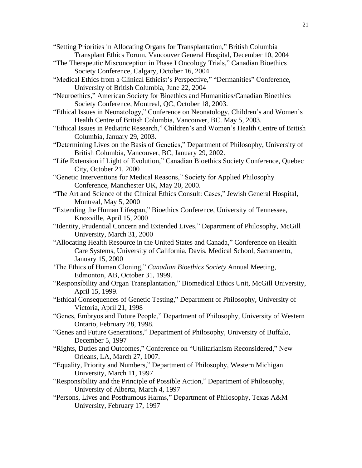"Setting Priorities in Allocating Organs for Transplantation," British Columbia Transplant Ethics Forum, Vancouver General Hospital, December 10, 2004

- "The Therapeutic Misconception in Phase I Oncology Trials," Canadian Bioethics Society Conference, Calgary, October 16, 2004
- "Medical Ethics from a Clinical Ethicist's Perspective," "Dermanities" Conference, University of British Columbia, June 22, 2004
- "Neuroethics," American Society for Bioethics and Humanities/Canadian Bioethics Society Conference, Montreal, QC, October 18, 2003.
- "Ethical Issues in Neonatology," Conference on Neonatology, Children's and Women's Health Centre of British Columbia, Vancouver, BC. May 5, 2003.
- "Ethical Issues in Pediatric Research," Children's and Women's Health Centre of British Columbia, January 29, 2003.
- "Determining Lives on the Basis of Genetics," Department of Philosophy, University of British Columbia, Vancouver, BC, January 29, 2002.
- "Life Extension if Light of Evolution," Canadian Bioethics Society Conference, Quebec City, October 21, 2000
- "Genetic Interventions for Medical Reasons," Society for Applied Philosophy Conference, Manchester UK, May 20, 2000.
- "The Art and Science of the Clinical Ethics Consult: Cases," Jewish General Hospital, Montreal, May 5, 2000
- "Extending the Human Lifespan," Bioethics Conference, University of Tennessee, Knoxville, April 15, 2000
- "Identity, Prudential Concern and Extended Lives," Department of Philosophy, McGill University, March 31, 2000
- "Allocating Health Resource in the United States and Canada," Conference on Health Care Systems, University of California, Davis, Medical School, Sacramento, January 15, 2000
- 'The Ethics of Human Cloning," *Canadian Bioethics Society* Annual Meeting, Edmonton, AB, October 31, 1999.
- "Responsibility and Organ Transplantation," Biomedical Ethics Unit, McGill University, April 15, 1999.
- "Ethical Consequences of Genetic Testing," Department of Philosophy, University of Victoria, April 21, 1998
- "Genes, Embryos and Future People," Department of Philosophy, University of Western Ontario, February 28, 1998.
- "Genes and Future Generations," Department of Philosophy, University of Buffalo, December 5, 1997
- "Rights, Duties and Outcomes," Conference on "Utilitarianism Reconsidered," New Orleans, LA, March 27, 1007.
- "Equality, Priority and Numbers," Department of Philosophy, Western Michigan University, March 11, 1997
- "Responsibility and the Principle of Possible Action," Department of Philosophy, University of Alberta, March 4, 1997
- "Persons, Lives and Posthumous Harms," Department of Philosophy, Texas A&M University, February 17, 1997